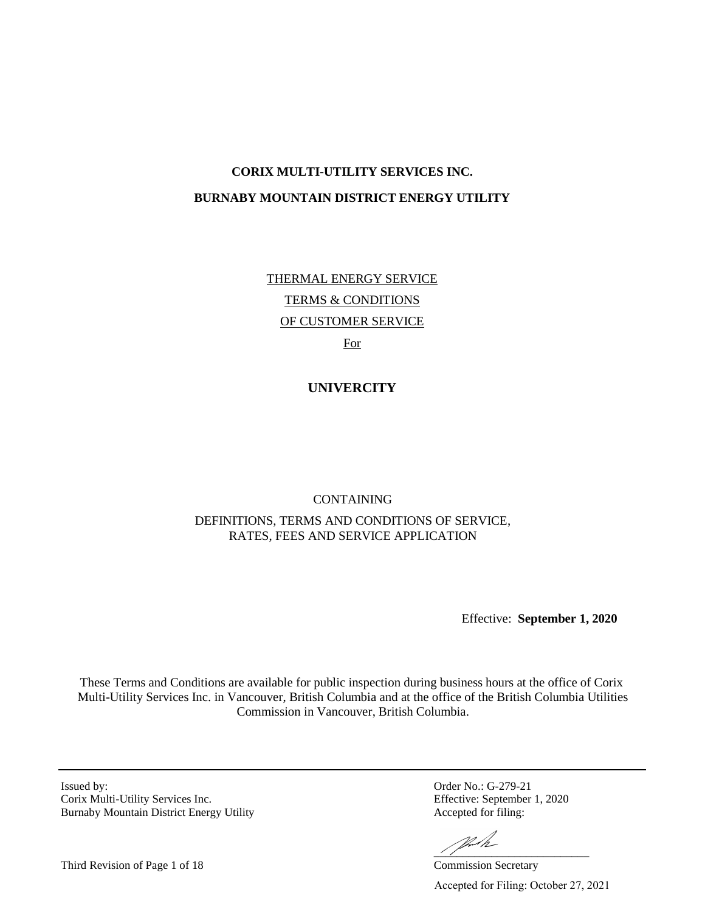# **CORIX MULTI-UTILITY SERVICES INC. BURNABY MOUNTAIN DISTRICT ENERGY UTILITY**

THERMAL ENERGY SERVICE TERMS & CONDITIONS OF CUSTOMER SERVICE For

**UNIVERCITY** 

# CONTAINING DEFINITIONS, TERMS AND CONDITIONS OF SERVICE, RATES, FEES AND SERVICE APPLICATION

Effective: **September 1, 2020**

These Terms and Conditions are available for public inspection during business hours at the office of Corix Multi-Utility Services Inc. in Vancouver, British Columbia and at the office of the British Columbia Utilities Commission in Vancouver, British Columbia.

Issued by: Order No.: G-279-21 Corix Multi-Utility Services Inc. Effective: September 1, 2020 Burnaby Mountain District Energy Utility Accepted for filing:

-<br>Work

Accepted for Filing: October 27, 2021

Third Revision of Page 1 of 18 Commission Secretary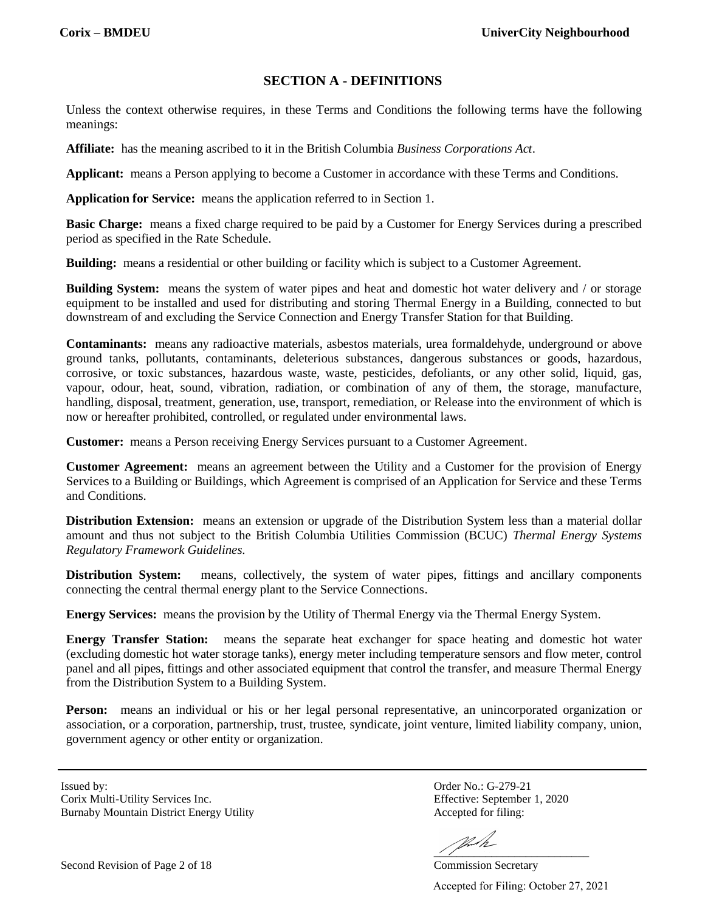# **SECTION A - DEFINITIONS**

Unless the context otherwise requires, in these Terms and Conditions the following terms have the following meanings:

**Affiliate:** has the meaning ascribed to it in the British Columbia *Business Corporations Act*.

**Applicant:** means a Person applying to become a Customer in accordance with these Terms and Conditions.

**Application for Service:** means the application referred to in Section 1.

**Basic Charge:** means a fixed charge required to be paid by a Customer for Energy Services during a prescribed period as specified in the Rate Schedule.

**Building:** means a residential or other building or facility which is subject to a Customer Agreement.

**Building System:** means the system of water pipes and heat and domestic hot water delivery and / or storage equipment to be installed and used for distributing and storing Thermal Energy in a Building, connected to but downstream of and excluding the Service Connection and Energy Transfer Station for that Building.

**Contaminants:** means any radioactive materials, asbestos materials, urea formaldehyde, underground or above ground tanks, pollutants, contaminants, deleterious substances, dangerous substances or goods, hazardous, corrosive, or toxic substances, hazardous waste, waste, pesticides, defoliants, or any other solid, liquid, gas, vapour, odour, heat, sound, vibration, radiation, or combination of any of them, the storage, manufacture, handling, disposal, treatment, generation, use, transport, remediation, or Release into the environment of which is now or hereafter prohibited, controlled, or regulated under environmental laws.

**Customer:** means a Person receiving Energy Services pursuant to a Customer Agreement.

**Customer Agreement:** means an agreement between the Utility and a Customer for the provision of Energy Services to a Building or Buildings, which Agreement is comprised of an Application for Service and these Terms and Conditions.

**Distribution Extension:** means an extension or upgrade of the Distribution System less than a material dollar amount and thus not subject to the British Columbia Utilities Commission (BCUC) *Thermal Energy Systems Regulatory Framework Guidelines.*

**Distribution System:** means, collectively, the system of water pipes, fittings and ancillary components connecting the central thermal energy plant to the Service Connections.

**Energy Services:** means the provision by the Utility of Thermal Energy via the Thermal Energy System.

**Energy Transfer Station:** means the separate heat exchanger for space heating and domestic hot water (excluding domestic hot water storage tanks), energy meter including temperature sensors and flow meter, control panel and all pipes, fittings and other associated equipment that control the transfer, and measure Thermal Energy from the Distribution System to a Building System.

**Person:** means an individual or his or her legal personal representative, an unincorporated organization or association, or a corporation, partnership, trust, trustee, syndicate, joint venture, limited liability company, union, government agency or other entity or organization.

Issued by: Order No.: G-279-21 Corix Multi-Utility Services Inc. Effective: September 1, 2020 Burnaby Mountain District Energy Utility **Accepted for filing:** 

 $\frac{1}{2}$  ,  $\frac{1}{2}$  ,  $\frac{1}{2}$  ,  $\frac{1}{2}$  ,  $\frac{1}{2}$  ,  $\frac{1}{2}$  ,  $\frac{1}{2}$  ,  $\frac{1}{2}$  ,  $\frac{1}{2}$  ,  $\frac{1}{2}$  ,  $\frac{1}{2}$  ,  $\frac{1}{2}$  ,  $\frac{1}{2}$  ,  $\frac{1}{2}$  ,  $\frac{1}{2}$  ,  $\frac{1}{2}$  ,  $\frac{1}{2}$  ,  $\frac{1}{2}$  ,  $\frac{1$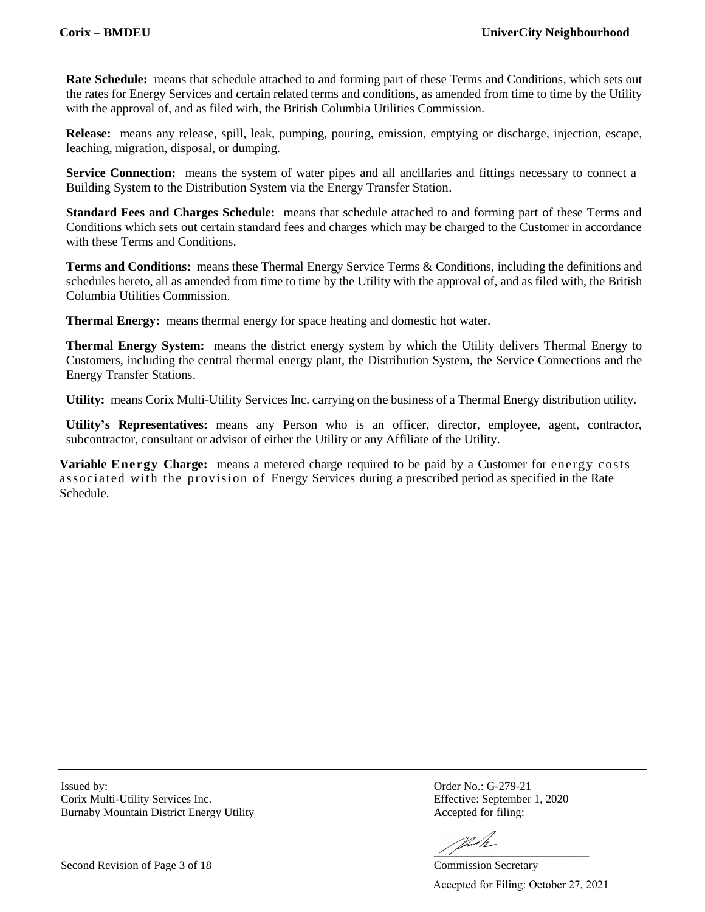**Rate Schedule:** means that schedule attached to and forming part of these Terms and Conditions, which sets out the rates for Energy Services and certain related terms and conditions, as amended from time to time by the Utility with the approval of, and as filed with, the British Columbia Utilities Commission.

**Release:** means any release, spill, leak, pumping, pouring, emission, emptying or discharge, injection, escape, leaching, migration, disposal, or dumping.

**Service Connection:** means the system of water pipes and all ancillaries and fittings necessary to connect a Building System to the Distribution System via the Energy Transfer Station.

**Standard Fees and Charges Schedule:** means that schedule attached to and forming part of these Terms and Conditions which sets out certain standard fees and charges which may be charged to the Customer in accordance with these Terms and Conditions.

**Terms and Conditions:** means these Thermal Energy Service Terms & Conditions, including the definitions and schedules hereto, all as amended from time to time by the Utility with the approval of, and as filed with, the British Columbia Utilities Commission.

**Thermal Energy:** means thermal energy for space heating and domestic hot water.

**Thermal Energy System:** means the district energy system by which the Utility delivers Thermal Energy to Customers, including the central thermal energy plant, the Distribution System, the Service Connections and the Energy Transfer Stations.

**Utility:** means Corix Multi-Utility Services Inc. carrying on the business of a Thermal Energy distribution utility.

**Utility's Representatives:** means any Person who is an officer, director, employee, agent, contractor, subcontractor, consultant or advisor of either the Utility or any Affiliate of the Utility.

**Variable Energy Charge:** means a metered charge required to be paid by a Customer for energy costs associated with the provision of Energy Services during a prescribed period as specified in the Rate Schedule.

Corix Multi-Utility Services Inc. Effective: September 1, 2020 Burnaby Mountain District Energy Utility **Accepted for filing:** 

Issued by: Order No.: G-279-21

VI.I.

 $\frac{1}{2}$  ,  $\frac{1}{2}$  ,  $\frac{1}{2}$  ,  $\frac{1}{2}$  ,  $\frac{1}{2}$  ,  $\frac{1}{2}$  ,  $\frac{1}{2}$  ,  $\frac{1}{2}$  ,  $\frac{1}{2}$  ,  $\frac{1}{2}$  ,  $\frac{1}{2}$  ,  $\frac{1}{2}$  ,  $\frac{1}{2}$  ,  $\frac{1}{2}$  ,  $\frac{1}{2}$  ,  $\frac{1}{2}$  ,  $\frac{1}{2}$  ,  $\frac{1}{2}$  ,  $\frac{1$ Accepted for Filing: October 27, 2021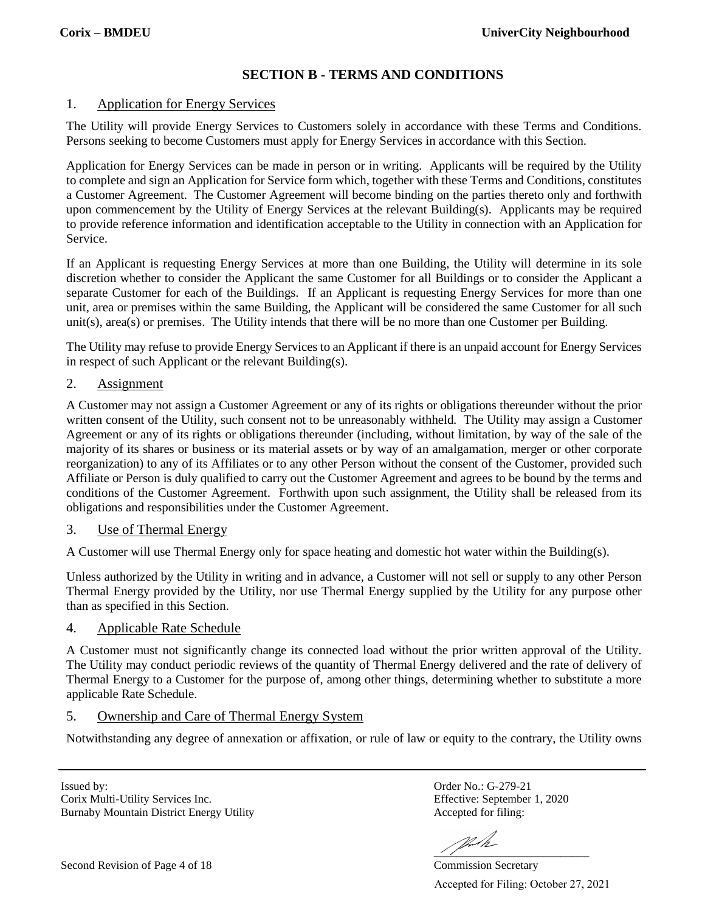# **SECTION B - TERMS AND CONDITIONS**

### 1. Application for Energy Services

The Utility will provide Energy Services to Customers solely in accordance with these Terms and Conditions. Persons seeking to become Customers must apply for Energy Services in accordance with this Section.

Application for Energy Services can be made in person or in writing. Applicants will be required by the Utility to complete and sign an Application for Service form which, together with these Terms and Conditions, constitutes a Customer Agreement. The Customer Agreement will become binding on the parties thereto only and forthwith upon commencement by the Utility of Energy Services at the relevant Building(s). Applicants may be required to provide reference information and identification acceptable to the Utility in connection with an Application for Service.

If an Applicant is requesting Energy Services at more than one Building, the Utility will determine in its sole discretion whether to consider the Applicant the same Customer for all Buildings or to consider the Applicant a separate Customer for each of the Buildings. If an Applicant is requesting Energy Services for more than one unit, area or premises within the same Building, the Applicant will be considered the same Customer for all such unit(s), area(s) or premises. The Utility intends that there will be no more than one Customer per Building.

The Utility may refuse to provide Energy Services to an Applicant if there is an unpaid account for Energy Services in respect of such Applicant or the relevant Building(s).

### 2. Assignment

A Customer may not assign a Customer Agreement or any of its rights or obligations thereunder without the prior written consent of the Utility, such consent not to be unreasonably withheld. The Utility may assign a Customer Agreement or any of its rights or obligations thereunder (including, without limitation, by way of the sale of the majority of its shares or business or its material assets or by way of an amalgamation, merger or other corporate reorganization) to any of its Affiliates or to any other Person without the consent of the Customer, provided such Affiliate or Person is duly qualified to carry out the Customer Agreement and agrees to be bound by the terms and conditions of the Customer Agreement. Forthwith upon such assignment, the Utility shall be released from its obligations and responsibilities under the Customer Agreement.

### 3. Use of Thermal Energy

A Customer will use Thermal Energy only for space heating and domestic hot water within the Building(s).

Unless authorized by the Utility in writing and in advance, a Customer will not sell or supply to any other Person Thermal Energy provided by the Utility, nor use Thermal Energy supplied by the Utility for any purpose other than as specified in this Section.

### 4. Applicable Rate Schedule

A Customer must not significantly change its connected load without the prior written approval of the Utility. The Utility may conduct periodic reviews of the quantity of Thermal Energy delivered and the rate of delivery of Thermal Energy to a Customer for the purpose of, among other things, determining whether to substitute a more applicable Rate Schedule.

### 5. Ownership and Care of Thermal Energy System

Notwithstanding any degree of annexation or affixation, or rule of law or equity to the contrary, the Utility owns

Issued by: Order No.: G-279-21 Corix Multi-Utility Services Inc. Effective: September 1, 2020 Burnaby Mountain District Energy Utility **Accepted for filing:** 

VI.M

 $\frac{1}{2}$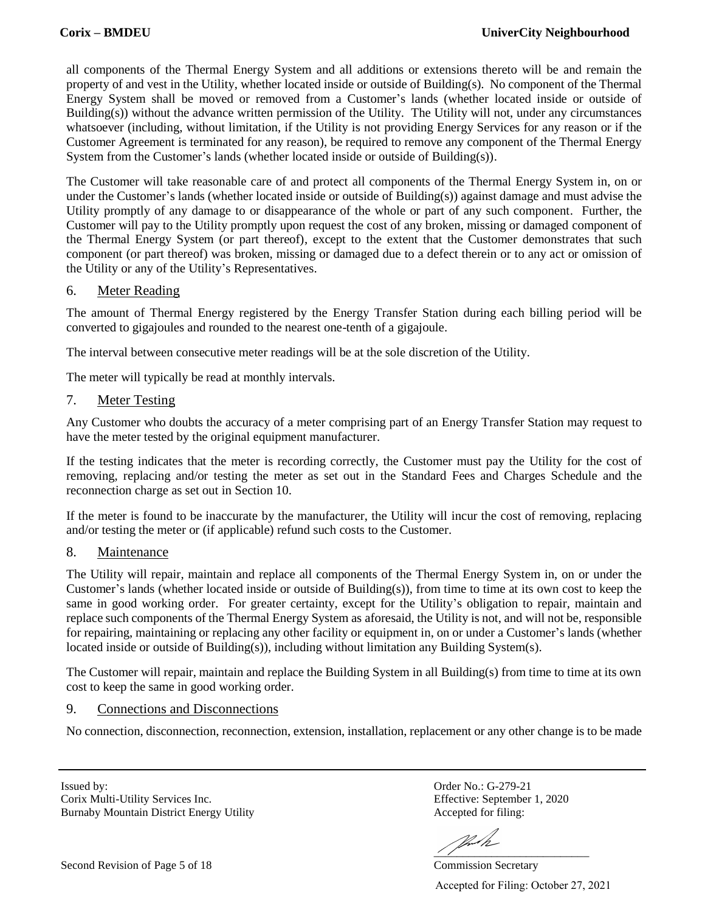all components of the Thermal Energy System and all additions or extensions thereto will be and remain the property of and vest in the Utility, whether located inside or outside of Building(s). No component of the Thermal Energy System shall be moved or removed from a Customer's lands (whether located inside or outside of Building(s)) without the advance written permission of the Utility. The Utility will not, under any circumstances whatsoever (including, without limitation, if the Utility is not providing Energy Services for any reason or if the Customer Agreement is terminated for any reason), be required to remove any component of the Thermal Energy System from the Customer's lands (whether located inside or outside of Building(s)).

The Customer will take reasonable care of and protect all components of the Thermal Energy System in, on or under the Customer's lands (whether located inside or outside of Building(s)) against damage and must advise the Utility promptly of any damage to or disappearance of the whole or part of any such component. Further, the Customer will pay to the Utility promptly upon request the cost of any broken, missing or damaged component of the Thermal Energy System (or part thereof), except to the extent that the Customer demonstrates that such component (or part thereof) was broken, missing or damaged due to a defect therein or to any act or omission of the Utility or any of the Utility's Representatives.

### 6. Meter Reading

The amount of Thermal Energy registered by the Energy Transfer Station during each billing period will be converted to gigajoules and rounded to the nearest one-tenth of a gigajoule.

The interval between consecutive meter readings will be at the sole discretion of the Utility.

The meter will typically be read at monthly intervals.

#### 7. Meter Testing

Any Customer who doubts the accuracy of a meter comprising part of an Energy Transfer Station may request to have the meter tested by the original equipment manufacturer.

If the testing indicates that the meter is recording correctly, the Customer must pay the Utility for the cost of removing, replacing and/or testing the meter as set out in the Standard Fees and Charges Schedule and the reconnection charge as set out in Section 10.

If the meter is found to be inaccurate by the manufacturer, the Utility will incur the cost of removing, replacing and/or testing the meter or (if applicable) refund such costs to the Customer.

### 8. Maintenance

The Utility will repair, maintain and replace all components of the Thermal Energy System in, on or under the Customer's lands (whether located inside or outside of Building(s)), from time to time at its own cost to keep the same in good working order. For greater certainty, except for the Utility's obligation to repair, maintain and replace such components of the Thermal Energy System as aforesaid, the Utility is not, and will not be, responsible for repairing, maintaining or replacing any other facility or equipment in, on or under a Customer's lands (whether located inside or outside of Building(s)), including without limitation any Building System(s).

The Customer will repair, maintain and replace the Building System in all Building(s) from time to time at its own cost to keep the same in good working order.

### 9. Connections and Disconnections

No connection, disconnection, reconnection, extension, installation, replacement or any other change is to be made

Issued by: Order No.: G-279-21 Corix Multi-Utility Services Inc. Effective: September 1, 2020 Burnaby Mountain District Energy Utility **Accepted for filing:** 

VII  $\frac{\sqrt{2}}{\sqrt{2}}$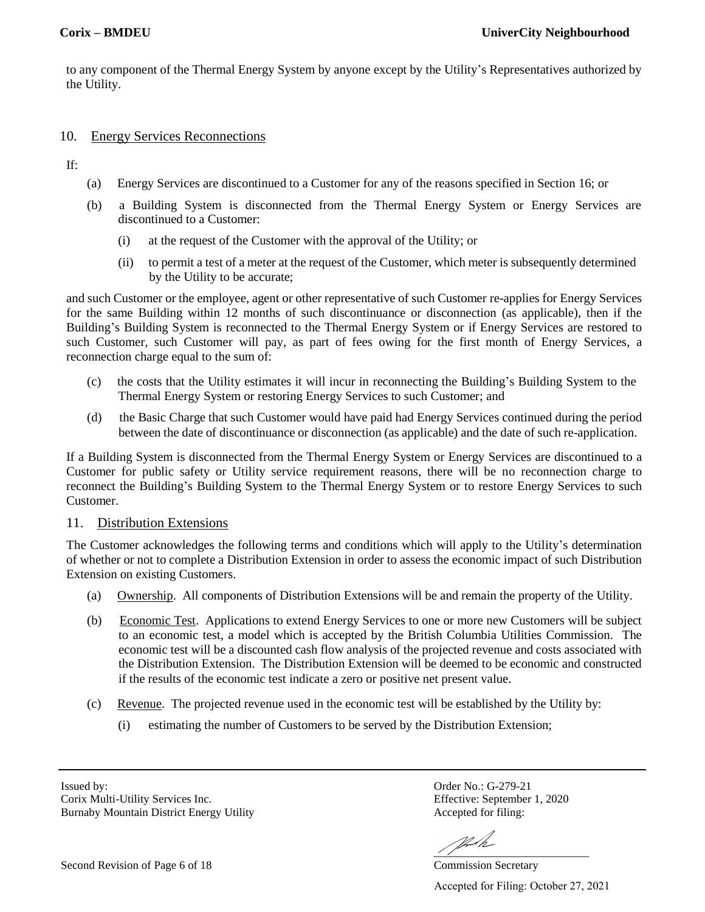to any component of the Thermal Energy System by anyone except by the Utility's Representatives authorized by the Utility.

#### 10. Energy Services Reconnections

If:

- (a) Energy Services are discontinued to a Customer for any of the reasons specified in Section 16; or
- (b) a Building System is disconnected from the Thermal Energy System or Energy Services are discontinued to a Customer:
	- (i) at the request of the Customer with the approval of the Utility; or
	- (ii) to permit a test of a meter at the request of the Customer, which meter is subsequently determined by the Utility to be accurate;

and such Customer or the employee, agent or other representative of such Customer re-applies for Energy Services for the same Building within 12 months of such discontinuance or disconnection (as applicable), then if the Building's Building System is reconnected to the Thermal Energy System or if Energy Services are restored to such Customer, such Customer will pay, as part of fees owing for the first month of Energy Services, a reconnection charge equal to the sum of:

- (c) the costs that the Utility estimates it will incur in reconnecting the Building's Building System to the Thermal Energy System or restoring Energy Services to such Customer; and
- (d) the Basic Charge that such Customer would have paid had Energy Services continued during the period between the date of discontinuance or disconnection (as applicable) and the date of such re-application.

If a Building System is disconnected from the Thermal Energy System or Energy Services are discontinued to a Customer for public safety or Utility service requirement reasons, there will be no reconnection charge to reconnect the Building's Building System to the Thermal Energy System or to restore Energy Services to such Customer.

#### 11. Distribution Extensions

The Customer acknowledges the following terms and conditions which will apply to the Utility's determination of whether or not to complete a Distribution Extension in order to assess the economic impact of such Distribution Extension on existing Customers.

- (a) Ownership. All components of Distribution Extensions will be and remain the property of the Utility.
- (b) Economic Test. Applications to extend Energy Services to one or more new Customers will be subject to an economic test, a model which is accepted by the British Columbia Utilities Commission. The economic test will be a discounted cash flow analysis of the projected revenue and costs associated with the Distribution Extension. The Distribution Extension will be deemed to be economic and constructed if the results of the economic test indicate a zero or positive net present value.
- (c) Revenue. The projected revenue used in the economic test will be established by the Utility by:
	- (i) estimating the number of Customers to be served by the Distribution Extension;

Issued by: Order No.: G-279-21 Corix Multi-Utility Services Inc. Effective: September 1, 2020 Burnaby Mountain District Energy Utility **Accepted for filing:** 

 $\frac{1}{2}$  ,  $\frac{1}{2}$  ,  $\frac{1}{2}$  ,  $\frac{1}{2}$  ,  $\frac{1}{2}$  ,  $\frac{1}{2}$  ,  $\frac{1}{2}$  ,  $\frac{1}{2}$  ,  $\frac{1}{2}$  ,  $\frac{1}{2}$  ,  $\frac{1}{2}$  ,  $\frac{1}{2}$  ,  $\frac{1}{2}$  ,  $\frac{1}{2}$  ,  $\frac{1}{2}$  ,  $\frac{1}{2}$  ,  $\frac{1}{2}$  ,  $\frac{1}{2}$  ,  $\frac{1$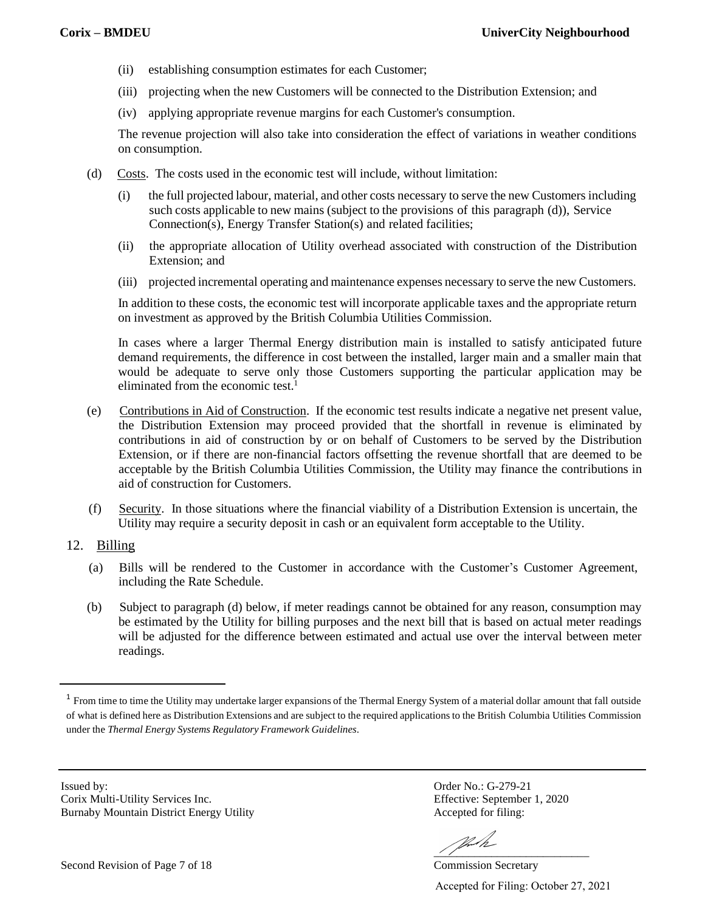- (ii) establishing consumption estimates for each Customer;
- (iii) projecting when the new Customers will be connected to the Distribution Extension; and
- (iv) applying appropriate revenue margins for each Customer's consumption.

The revenue projection will also take into consideration the effect of variations in weather conditions on consumption.

- (d) Costs. The costs used in the economic test will include, without limitation:
	- (i) the full projected labour, material, and other costs necessary to serve the new Customers including such costs applicable to new mains (subject to the provisions of this paragraph (d)), Service Connection(s), Energy Transfer Station(s) and related facilities;
	- (ii) the appropriate allocation of Utility overhead associated with construction of the Distribution Extension; and
	- (iii) projected incremental operating and maintenance expenses necessary to serve the new Customers.

In addition to these costs, the economic test will incorporate applicable taxes and the appropriate return on investment as approved by the British Columbia Utilities Commission.

In cases where a larger Thermal Energy distribution main is installed to satisfy anticipated future demand requirements, the difference in cost between the installed, larger main and a smaller main that would be adequate to serve only those Customers supporting the particular application may be eliminated from the economic test. 1

- (e) Contributions in Aid of Construction. If the economic test results indicate a negative net present value, the Distribution Extension may proceed provided that the shortfall in revenue is eliminated by contributions in aid of construction by or on behalf of Customers to be served by the Distribution Extension, or if there are non-financial factors offsetting the revenue shortfall that are deemed to be acceptable by the British Columbia Utilities Commission, the Utility may finance the contributions in aid of construction for Customers.
- (f) Security. In those situations where the financial viability of a Distribution Extension is uncertain, the Utility may require a security deposit in cash or an equivalent form acceptable to the Utility.
- 12. Billing
	- (a) Bills will be rendered to the Customer in accordance with the Customer's Customer Agreement, including the Rate Schedule.
	- (b) Subject to paragraph (d) below, if meter readings cannot be obtained for any reason, consumption may be estimated by the Utility for billing purposes and the next bill that is based on actual meter readings will be adjusted for the difference between estimated and actual use over the interval between meter readings.

Issued by: Order No.: G-279-21 Corix Multi-Utility Services Inc. Effective: September 1, 2020 Burnaby Mountain District Energy Utility **Accepted for filing:** 

VI.M  $\frac{1}{2}$   $\frac{1}{2}$   $\frac{1}{2}$   $\frac{1}{2}$   $\frac{1}{2}$   $\frac{1}{2}$   $\frac{1}{2}$   $\frac{1}{2}$   $\frac{1}{2}$   $\frac{1}{2}$   $\frac{1}{2}$   $\frac{1}{2}$   $\frac{1}{2}$   $\frac{1}{2}$   $\frac{1}{2}$   $\frac{1}{2}$   $\frac{1}{2}$   $\frac{1}{2}$   $\frac{1}{2}$   $\frac{1}{2}$   $\frac{1}{2}$   $\frac{1}{2}$ 

 $1$  From time to time the Utility may undertake larger expansions of the Thermal Energy System of a material dollar amount that fall outside of what is defined here as Distribution Extensions and are subject to the required applicationsto the British Columbia Utilities Commission under the *Thermal Energy Systems Regulatory Framework Guidelines*.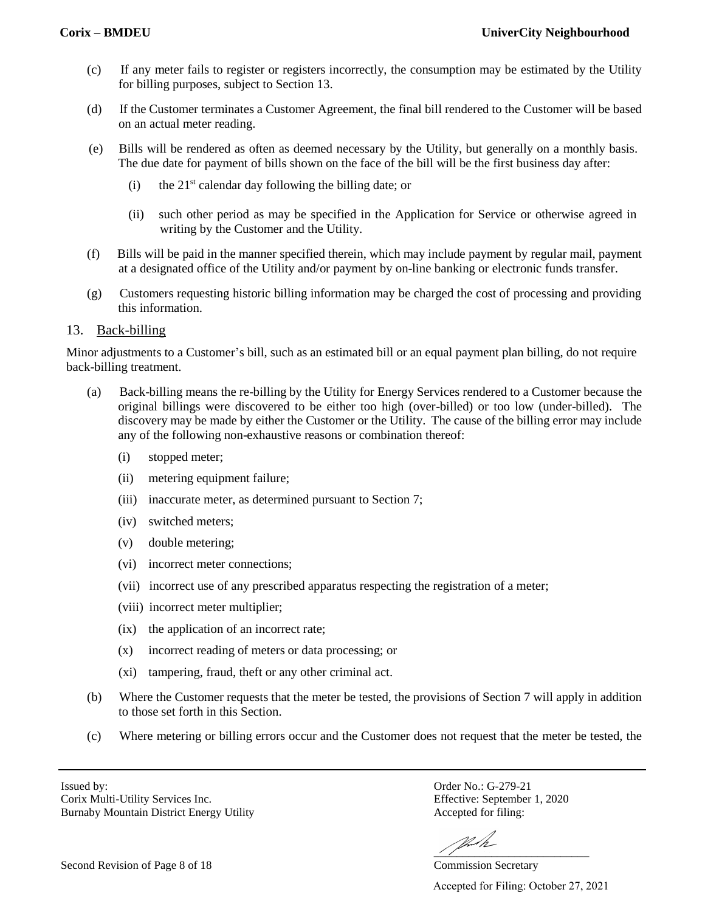- (c) If any meter fails to register or registers incorrectly, the consumption may be estimated by the Utility for billing purposes, subject to Section 13.
- (d) If the Customer terminates a Customer Agreement, the final bill rendered to the Customer will be based on an actual meter reading.
- (e) Bills will be rendered as often as deemed necessary by the Utility, but generally on a monthly basis. The due date for payment of bills shown on the face of the bill will be the first business day after:
	- $(i)$  the  $21<sup>st</sup>$  calendar day following the billing date; or
	- (ii) such other period as may be specified in the Application for Service or otherwise agreed in writing by the Customer and the Utility.
- (f) Bills will be paid in the manner specified therein, which may include payment by regular mail, payment at a designated office of the Utility and/or payment by on-line banking or electronic funds transfer.
- (g) Customers requesting historic billing information may be charged the cost of processing and providing this information.

### 13. Back-billing

Minor adjustments to a Customer's bill, such as an estimated bill or an equal payment plan billing, do not require back-billing treatment.

- (a) Back-billing means the re-billing by the Utility for Energy Services rendered to a Customer because the original billings were discovered to be either too high (over-billed) or too low (under-billed). The discovery may be made by either the Customer or the Utility. The cause of the billing error may include any of the following non-exhaustive reasons or combination thereof:
	- (i) stopped meter;
	- (ii) metering equipment failure;
	- (iii) inaccurate meter, as determined pursuant to Section 7;
	- (iv) switched meters;
	- (v) double metering;
	- (vi) incorrect meter connections;
	- (vii) incorrect use of any prescribed apparatus respecting the registration of a meter;
	- (viii) incorrect meter multiplier;
	- (ix) the application of an incorrect rate;
	- (x) incorrect reading of meters or data processing; or
	- (xi) tampering, fraud, theft or any other criminal act.
- (b) Where the Customer requests that the meter be tested, the provisions of Section 7 will apply in addition to those set forth in this Section.
- (c) Where metering or billing errors occur and the Customer does not request that the meter be tested, the

Corix Multi-Utility Services Inc. Effective: September 1, 2020 Burnaby Mountain District Energy Utility **Accepted for filing:** 

Issued by: Order No.: G-279-21

VI.M  $\frac{1}{2}$   $\frac{1}{2}$   $\frac{1}{2}$   $\frac{1}{2}$   $\frac{1}{2}$   $\frac{1}{2}$   $\frac{1}{2}$   $\frac{1}{2}$   $\frac{1}{2}$   $\frac{1}{2}$   $\frac{1}{2}$   $\frac{1}{2}$   $\frac{1}{2}$   $\frac{1}{2}$   $\frac{1}{2}$   $\frac{1}{2}$   $\frac{1}{2}$   $\frac{1}{2}$   $\frac{1}{2}$   $\frac{1}{2}$   $\frac{1}{2}$   $\frac{1}{2}$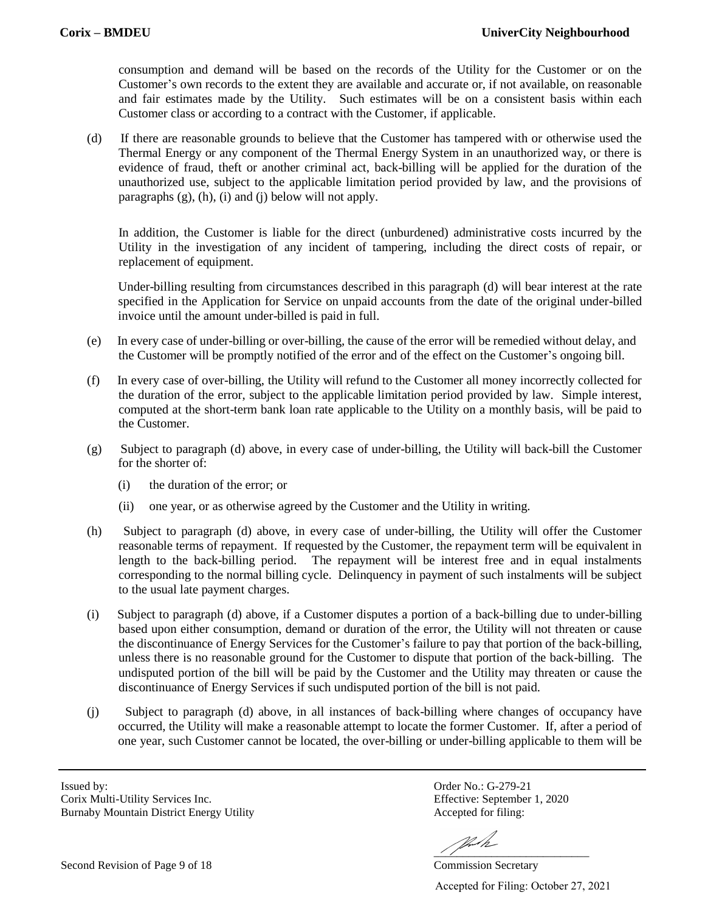consumption and demand will be based on the records of the Utility for the Customer or on the Customer's own records to the extent they are available and accurate or, if not available, on reasonable and fair estimates made by the Utility. Such estimates will be on a consistent basis within each Customer class or according to a contract with the Customer, if applicable.

(d) If there are reasonable grounds to believe that the Customer has tampered with or otherwise used the Thermal Energy or any component of the Thermal Energy System in an unauthorized way, or there is evidence of fraud, theft or another criminal act, back-billing will be applied for the duration of the unauthorized use, subject to the applicable limitation period provided by law, and the provisions of paragraphs  $(g)$ ,  $(h)$ ,  $(i)$  and  $(i)$  below will not apply.

In addition, the Customer is liable for the direct (unburdened) administrative costs incurred by the Utility in the investigation of any incident of tampering, including the direct costs of repair, or replacement of equipment.

Under-billing resulting from circumstances described in this paragraph (d) will bear interest at the rate specified in the Application for Service on unpaid accounts from the date of the original under-billed invoice until the amount under-billed is paid in full.

- (e) In every case of under-billing or over-billing, the cause of the error will be remedied without delay, and the Customer will be promptly notified of the error and of the effect on the Customer's ongoing bill.
- (f) In every case of over-billing, the Utility will refund to the Customer all money incorrectly collected for the duration of the error, subject to the applicable limitation period provided by law. Simple interest, computed at the short-term bank loan rate applicable to the Utility on a monthly basis, will be paid to the Customer.
- (g) Subject to paragraph (d) above, in every case of under-billing, the Utility will back-bill the Customer for the shorter of:
	- (i) the duration of the error; or
	- (ii) one year, or as otherwise agreed by the Customer and the Utility in writing.
- (h) Subject to paragraph (d) above, in every case of under-billing, the Utility will offer the Customer reasonable terms of repayment. If requested by the Customer, the repayment term will be equivalent in length to the back-billing period. The repayment will be interest free and in equal instalments corresponding to the normal billing cycle. Delinquency in payment of such instalments will be subject to the usual late payment charges.
- (i) Subject to paragraph (d) above, if a Customer disputes a portion of a back-billing due to under-billing based upon either consumption, demand or duration of the error, the Utility will not threaten or cause the discontinuance of Energy Services for the Customer's failure to pay that portion of the back-billing, unless there is no reasonable ground for the Customer to dispute that portion of the back-billing. The undisputed portion of the bill will be paid by the Customer and the Utility may threaten or cause the discontinuance of Energy Services if such undisputed portion of the bill is not paid.
- (j) Subject to paragraph (d) above, in all instances of back-billing where changes of occupancy have occurred, the Utility will make a reasonable attempt to locate the former Customer. If, after a period of one year, such Customer cannot be located, the over-billing or under-billing applicable to them will be

Issued by: Order No.: G-279-21 Corix Multi-Utility Services Inc. Effective: September 1, 2020 Burnaby Mountain District Energy Utility **Accepted for filing:** 

VII  $\frac{1}{2}$  ,  $\frac{1}{2}$  ,  $\frac{1}{2}$  ,  $\frac{1}{2}$  ,  $\frac{1}{2}$  ,  $\frac{1}{2}$  ,  $\frac{1}{2}$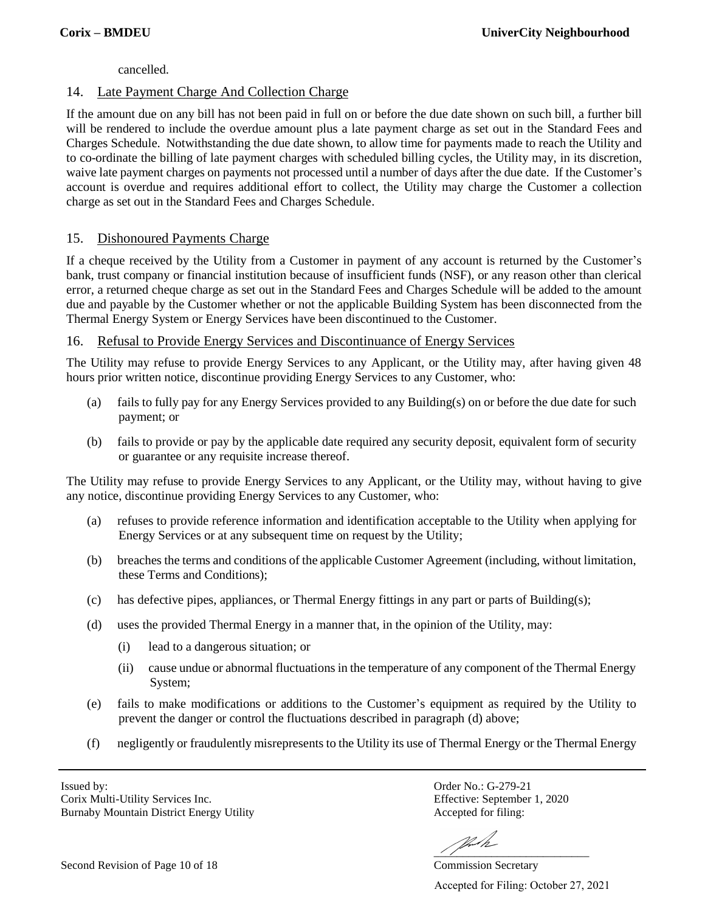cancelled.

# 14. Late Payment Charge And Collection Charge

If the amount due on any bill has not been paid in full on or before the due date shown on such bill, a further bill will be rendered to include the overdue amount plus a late payment charge as set out in the Standard Fees and Charges Schedule. Notwithstanding the due date shown, to allow time for payments made to reach the Utility and to co-ordinate the billing of late payment charges with scheduled billing cycles, the Utility may, in its discretion, waive late payment charges on payments not processed until a number of days after the due date. If the Customer's account is overdue and requires additional effort to collect, the Utility may charge the Customer a collection charge as set out in the Standard Fees and Charges Schedule.

# 15. Dishonoured Payments Charge

If a cheque received by the Utility from a Customer in payment of any account is returned by the Customer's bank, trust company or financial institution because of insufficient funds (NSF), or any reason other than clerical error, a returned cheque charge as set out in the Standard Fees and Charges Schedule will be added to the amount due and payable by the Customer whether or not the applicable Building System has been disconnected from the Thermal Energy System or Energy Services have been discontinued to the Customer.

### 16. Refusal to Provide Energy Services and Discontinuance of Energy Services

The Utility may refuse to provide Energy Services to any Applicant, or the Utility may, after having given 48 hours prior written notice, discontinue providing Energy Services to any Customer, who:

- (a) fails to fully pay for any Energy Services provided to any Building(s) on or before the due date for such payment; or
- (b) fails to provide or pay by the applicable date required any security deposit, equivalent form of security or guarantee or any requisite increase thereof.

The Utility may refuse to provide Energy Services to any Applicant, or the Utility may, without having to give any notice, discontinue providing Energy Services to any Customer, who:

- (a) refuses to provide reference information and identification acceptable to the Utility when applying for Energy Services or at any subsequent time on request by the Utility;
- (b) breaches the terms and conditions of the applicable Customer Agreement (including, without limitation, these Terms and Conditions);
- (c) has defective pipes, appliances, or Thermal Energy fittings in any part or parts of Building(s);
- (d) uses the provided Thermal Energy in a manner that, in the opinion of the Utility, may:
	- (i) lead to a dangerous situation; or
	- (ii) cause undue or abnormal fluctuationsin the temperature of any component of the Thermal Energy System;
- (e) fails to make modifications or additions to the Customer's equipment as required by the Utility to prevent the danger or control the fluctuations described in paragraph (d) above;
- (f) negligently or fraudulently misrepresents to the Utility its use of Thermal Energy or the Thermal Energy

Issued by: Order No.: G-279-21 Corix Multi-Utility Services Inc. Effective: September 1, 2020 Burnaby Mountain District Energy Utility **Accepted for filing:** 

 $\frac{1}{2}$  ,  $\frac{1}{2}$  ,  $\frac{1}{2}$  ,  $\frac{1}{2}$  ,  $\frac{1}{2}$  ,  $\frac{1}{2}$  ,  $\frac{1}{2}$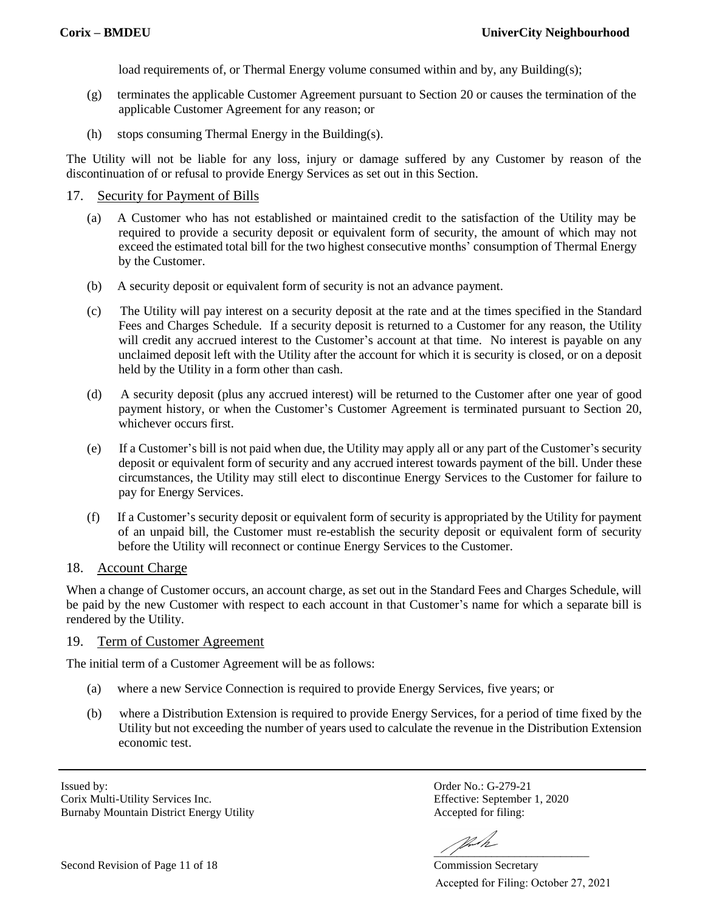load requirements of, or Thermal Energy volume consumed within and by, any Building(s);

- (g) terminates the applicable Customer Agreement pursuant to Section 20 or causes the termination of the applicable Customer Agreement for any reason; or
- (h) stops consuming Thermal Energy in the Building(s).

The Utility will not be liable for any loss, injury or damage suffered by any Customer by reason of the discontinuation of or refusal to provide Energy Services as set out in this Section.

#### 17. Security for Payment of Bills

- (a) A Customer who has not established or maintained credit to the satisfaction of the Utility may be required to provide a security deposit or equivalent form of security, the amount of which may not exceed the estimated total bill for the two highest consecutive months' consumption of Thermal Energy by the Customer.
- (b) A security deposit or equivalent form of security is not an advance payment.
- (c) The Utility will pay interest on a security deposit at the rate and at the times specified in the Standard Fees and Charges Schedule. If a security deposit is returned to a Customer for any reason, the Utility will credit any accrued interest to the Customer's account at that time. No interest is payable on any unclaimed deposit left with the Utility after the account for which it is security is closed, or on a deposit held by the Utility in a form other than cash.
- (d) A security deposit (plus any accrued interest) will be returned to the Customer after one year of good payment history, or when the Customer's Customer Agreement is terminated pursuant to Section 20, whichever occurs first.
- (e) If a Customer's bill is not paid when due, the Utility may apply all or any part of the Customer's security deposit or equivalent form of security and any accrued interest towards payment of the bill. Under these circumstances, the Utility may still elect to discontinue Energy Services to the Customer for failure to pay for Energy Services.
- (f) If a Customer's security deposit or equivalent form of security is appropriated by the Utility for payment of an unpaid bill, the Customer must re-establish the security deposit or equivalent form of security before the Utility will reconnect or continue Energy Services to the Customer.

### 18. Account Charge

When a change of Customer occurs, an account charge, as set out in the Standard Fees and Charges Schedule, will be paid by the new Customer with respect to each account in that Customer's name for which a separate bill is rendered by the Utility.

#### 19. Term of Customer Agreement

The initial term of a Customer Agreement will be as follows:

- (a) where a new Service Connection is required to provide Energy Services, five years; or
- (b) where a Distribution Extension is required to provide Energy Services, for a period of time fixed by the Utility but not exceeding the number of years used to calculate the revenue in the Distribution Extension economic test.

Issued by: Order No.: G-279-21 Corix Multi-Utility Services Inc. Effective: September 1, 2020 Burnaby Mountain District Energy Utility **Accepted for filing:** 

 $\frac{1}{2}$  ,  $\frac{1}{2}$  ,  $\frac{1}{2}$  ,  $\frac{1}{2}$  ,  $\frac{1}{2}$  ,  $\frac{1}{2}$  ,  $\frac{1}{2}$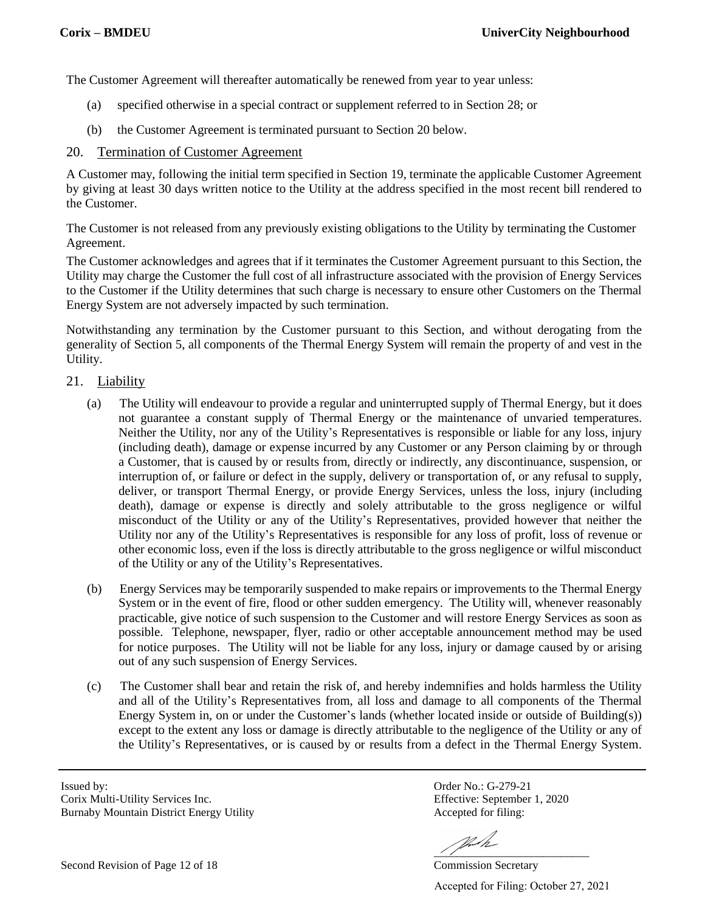The Customer Agreement will thereafter automatically be renewed from year to year unless:

- (a) specified otherwise in a special contract or supplement referred to in Section 28; or
- (b) the Customer Agreement is terminated pursuant to Section 20 below.

#### 20. Termination of Customer Agreement

A Customer may, following the initial term specified in Section 19, terminate the applicable Customer Agreement by giving at least 30 days written notice to the Utility at the address specified in the most recent bill rendered to the Customer.

The Customer is not released from any previously existing obligations to the Utility by terminating the Customer Agreement.

The Customer acknowledges and agrees that if it terminates the Customer Agreement pursuant to this Section, the Utility may charge the Customer the full cost of all infrastructure associated with the provision of Energy Services to the Customer if the Utility determines that such charge is necessary to ensure other Customers on the Thermal Energy System are not adversely impacted by such termination.

Notwithstanding any termination by the Customer pursuant to this Section, and without derogating from the generality of Section 5, all components of the Thermal Energy System will remain the property of and vest in the Utility.

#### 21. Liability

- (a) The Utility will endeavour to provide a regular and uninterrupted supply of Thermal Energy, but it does not guarantee a constant supply of Thermal Energy or the maintenance of unvaried temperatures. Neither the Utility, nor any of the Utility's Representatives is responsible or liable for any loss, injury (including death), damage or expense incurred by any Customer or any Person claiming by or through a Customer, that is caused by or results from, directly or indirectly, any discontinuance, suspension, or interruption of, or failure or defect in the supply, delivery or transportation of, or any refusal to supply, deliver, or transport Thermal Energy, or provide Energy Services, unless the loss, injury (including death), damage or expense is directly and solely attributable to the gross negligence or wilful misconduct of the Utility or any of the Utility's Representatives, provided however that neither the Utility nor any of the Utility's Representatives is responsible for any loss of profit, loss of revenue or other economic loss, even if the loss is directly attributable to the gross negligence or wilful misconduct of the Utility or any of the Utility's Representatives.
- (b) Energy Services may be temporarily suspended to make repairs or improvements to the Thermal Energy System or in the event of fire, flood or other sudden emergency. The Utility will, whenever reasonably practicable, give notice of such suspension to the Customer and will restore Energy Services as soon as possible. Telephone, newspaper, flyer, radio or other acceptable announcement method may be used for notice purposes. The Utility will not be liable for any loss, injury or damage caused by or arising out of any such suspension of Energy Services.
- (c) The Customer shall bear and retain the risk of, and hereby indemnifies and holds harmless the Utility and all of the Utility's Representatives from, all loss and damage to all components of the Thermal Energy System in, on or under the Customer's lands (whether located inside or outside of Building(s)) except to the extent any loss or damage is directly attributable to the negligence of the Utility or any of the Utility's Representatives, or is caused by or results from a defect in the Thermal Energy System.

Issued by: Order No.: G-279-21 Corix Multi-Utility Services Inc. Effective: September 1, 2020 Burnaby Mountain District Energy Utility **Accepted for filing:** 

 $\frac{1}{2}$  ,  $\frac{1}{2}$  ,  $\frac{1}{2}$  ,  $\frac{1}{2}$  ,  $\frac{1}{2}$  ,  $\frac{1}{2}$  ,  $\frac{1}{2}$ 

Second Revision of Page 12 of 18 Commission Secretary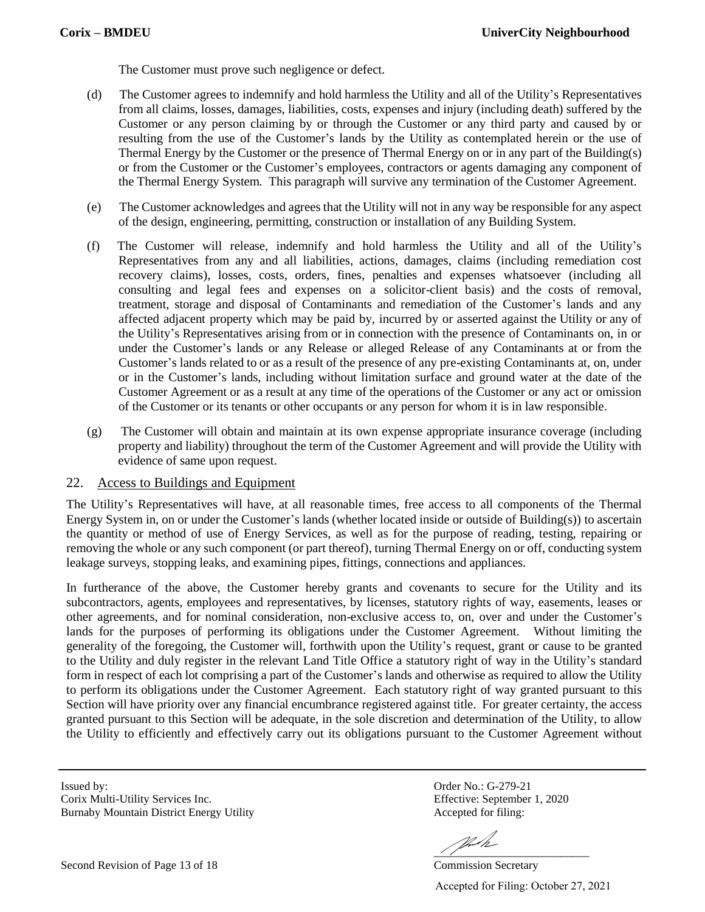The Customer must prove such negligence or defect.

- (d) The Customer agrees to indemnify and hold harmless the Utility and all of the Utility's Representatives from all claims, losses, damages, liabilities, costs, expenses and injury (including death) suffered by the Customer or any person claiming by or through the Customer or any third party and caused by or resulting from the use of the Customer's lands by the Utility as contemplated herein or the use of Thermal Energy by the Customer or the presence of Thermal Energy on or in any part of the Building(s) or from the Customer or the Customer's employees, contractors or agents damaging any component of the Thermal Energy System. This paragraph will survive any termination of the Customer Agreement.
- (e) The Customer acknowledges and agrees that the Utility will not in any way be responsible for any aspect of the design, engineering, permitting, construction or installation of any Building System.
- (f) The Customer will release, indemnify and hold harmless the Utility and all of the Utility's Representatives from any and all liabilities, actions, damages, claims (including remediation cost recovery claims), losses, costs, orders, fines, penalties and expenses whatsoever (including all consulting and legal fees and expenses on a solicitor-client basis) and the costs of removal, treatment, storage and disposal of Contaminants and remediation of the Customer's lands and any affected adjacent property which may be paid by, incurred by or asserted against the Utility or any of the Utility's Representatives arising from or in connection with the presence of Contaminants on, in or under the Customer's lands or any Release or alleged Release of any Contaminants at or from the Customer's lands related to or as a result of the presence of any pre-existing Contaminants at, on, under or in the Customer's lands, including without limitation surface and ground water at the date of the Customer Agreement or as a result at any time of the operations of the Customer or any act or omission of the Customer or its tenants or other occupants or any person for whom it is in law responsible.
- (g) The Customer will obtain and maintain at its own expense appropriate insurance coverage (including property and liability) throughout the term of the Customer Agreement and will provide the Utility with evidence of same upon request.

#### 22. Access to Buildings and Equipment

The Utility's Representatives will have, at all reasonable times, free access to all components of the Thermal Energy System in, on or under the Customer's lands (whether located inside or outside of Building(s)) to ascertain the quantity or method of use of Energy Services, as well as for the purpose of reading, testing, repairing or removing the whole or any such component (or part thereof), turning Thermal Energy on or off, conducting system leakage surveys, stopping leaks, and examining pipes, fittings, connections and appliances.

In furtherance of the above, the Customer hereby grants and covenants to secure for the Utility and its subcontractors, agents, employees and representatives, by licenses, statutory rights of way, easements, leases or other agreements, and for nominal consideration, non-exclusive access to, on, over and under the Customer's lands for the purposes of performing its obligations under the Customer Agreement. Without limiting the generality of the foregoing, the Customer will, forthwith upon the Utility's request, grant or cause to be granted to the Utility and duly register in the relevant Land Title Office a statutory right of way in the Utility's standard form in respect of each lot comprising a part of the Customer's lands and otherwise as required to allow the Utility to perform its obligations under the Customer Agreement. Each statutory right of way granted pursuant to this Section will have priority over any financial encumbrance registered against title. For greater certainty, the access granted pursuant to this Section will be adequate, in the sole discretion and determination of the Utility, to allow the Utility to efficiently and effectively carry out its obligations pursuant to the Customer Agreement without

Corix Multi-Utility Services Inc. Effective: September 1, 2020 Burnaby Mountain District Energy Utility **Accepted for filing:** 

Second Revision of Page 13 of 18 Commission Secretary

Issued by: Order No.: G-279-21

 $\frac{1}{2}$  ,  $\frac{1}{2}$  ,  $\frac{1}{2}$  ,  $\frac{1}{2}$  ,  $\frac{1}{2}$  ,  $\frac{1}{2}$  ,  $\frac{1}{2}$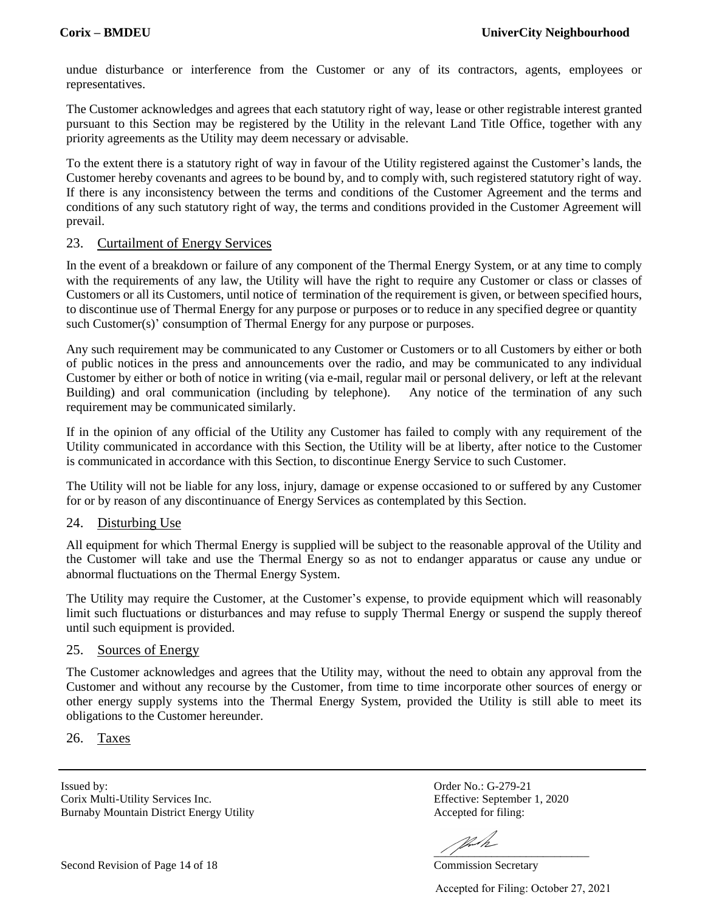undue disturbance or interference from the Customer or any of its contractors, agents, employees or representatives.

The Customer acknowledges and agrees that each statutory right of way, lease or other registrable interest granted pursuant to this Section may be registered by the Utility in the relevant Land Title Office, together with any priority agreements as the Utility may deem necessary or advisable.

To the extent there is a statutory right of way in favour of the Utility registered against the Customer's lands, the Customer hereby covenants and agrees to be bound by, and to comply with, such registered statutory right of way. If there is any inconsistency between the terms and conditions of the Customer Agreement and the terms and conditions of any such statutory right of way, the terms and conditions provided in the Customer Agreement will prevail.

#### 23. Curtailment of Energy Services

In the event of a breakdown or failure of any component of the Thermal Energy System, or at any time to comply with the requirements of any law, the Utility will have the right to require any Customer or class or classes of Customers or all its Customers, until notice of termination of the requirement is given, or between specified hours, to discontinue use of Thermal Energy for any purpose or purposes or to reduce in any specified degree or quantity such Customer(s)' consumption of Thermal Energy for any purpose or purposes.

Any such requirement may be communicated to any Customer or Customers or to all Customers by either or both of public notices in the press and announcements over the radio, and may be communicated to any individual Customer by either or both of notice in writing (via e-mail, regular mail or personal delivery, or left at the relevant Building) and oral communication (including by telephone). Any notice of the termination of any such requirement may be communicated similarly.

If in the opinion of any official of the Utility any Customer has failed to comply with any requirement of the Utility communicated in accordance with this Section, the Utility will be at liberty, after notice to the Customer is communicated in accordance with this Section, to discontinue Energy Service to such Customer.

The Utility will not be liable for any loss, injury, damage or expense occasioned to or suffered by any Customer for or by reason of any discontinuance of Energy Services as contemplated by this Section.

### 24. Disturbing Use

All equipment for which Thermal Energy is supplied will be subject to the reasonable approval of the Utility and the Customer will take and use the Thermal Energy so as not to endanger apparatus or cause any undue or abnormal fluctuations on the Thermal Energy System.

The Utility may require the Customer, at the Customer's expense, to provide equipment which will reasonably limit such fluctuations or disturbances and may refuse to supply Thermal Energy or suspend the supply thereof until such equipment is provided.

#### 25. Sources of Energy

The Customer acknowledges and agrees that the Utility may, without the need to obtain any approval from the Customer and without any recourse by the Customer, from time to time incorporate other sources of energy or other energy supply systems into the Thermal Energy System, provided the Utility is still able to meet its obligations to the Customer hereunder.

26. Taxes

Issued by: Order No.: G-279-21 Corix Multi-Utility Services Inc. Effective: September 1, 2020 Burnaby Mountain District Energy Utility **Accepted for filing:** 

VL/h  $\frac{1}{2}$  ,  $\frac{1}{2}$  ,  $\frac{1}{2}$  ,  $\frac{1}{2}$  ,  $\frac{1}{2}$  ,  $\frac{1}{2}$  ,  $\frac{1}{2}$ 

Second Revision of Page 14 of 18 Commission Secretary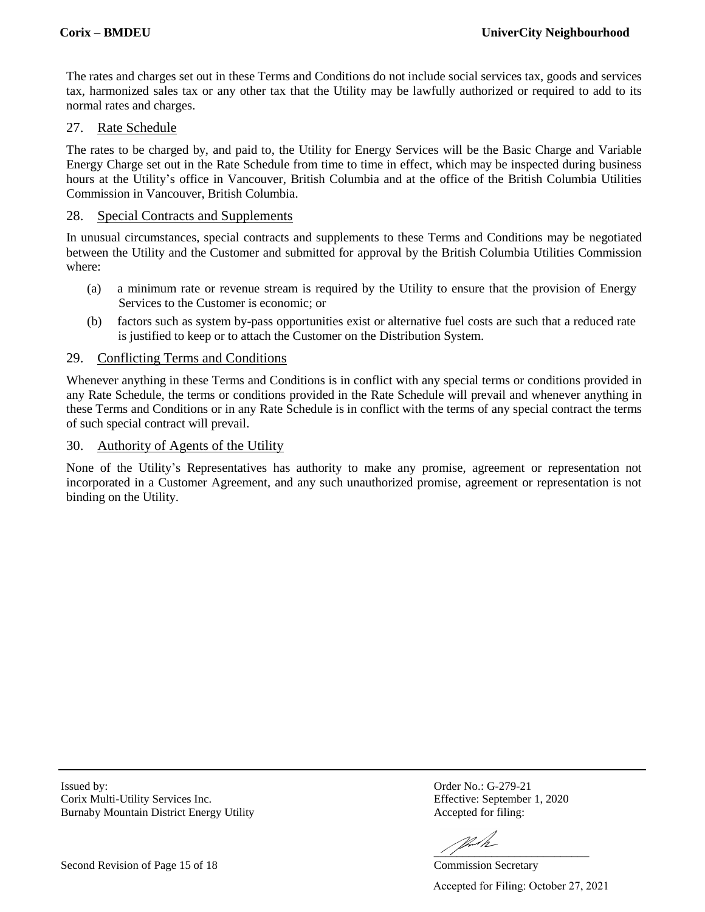The rates and charges set out in these Terms and Conditions do not include social services tax, goods and services tax, harmonized sales tax or any other tax that the Utility may be lawfully authorized or required to add to its normal rates and charges.

#### 27. Rate Schedule

The rates to be charged by, and paid to, the Utility for Energy Services will be the Basic Charge and Variable Energy Charge set out in the Rate Schedule from time to time in effect, which may be inspected during business hours at the Utility's office in Vancouver, British Columbia and at the office of the British Columbia Utilities Commission in Vancouver, British Columbia.

#### 28. Special Contracts and Supplements

In unusual circumstances, special contracts and supplements to these Terms and Conditions may be negotiated between the Utility and the Customer and submitted for approval by the British Columbia Utilities Commission where:

- (a) a minimum rate or revenue stream is required by the Utility to ensure that the provision of Energy Services to the Customer is economic; or
- (b) factors such as system by-pass opportunities exist or alternative fuel costs are such that a reduced rate is justified to keep or to attach the Customer on the Distribution System.

#### 29. Conflicting Terms and Conditions

Whenever anything in these Terms and Conditions is in conflict with any special terms or conditions provided in any Rate Schedule, the terms or conditions provided in the Rate Schedule will prevail and whenever anything in these Terms and Conditions or in any Rate Schedule is in conflict with the terms of any special contract the terms of such special contract will prevail.

#### 30. Authority of Agents of the Utility

None of the Utility's Representatives has authority to make any promise, agreement or representation not incorporated in a Customer Agreement, and any such unauthorized promise, agreement or representation is not binding on the Utility.

Issued by: Order No.: G-279-21 Corix Multi-Utility Services Inc. Effective: September 1, 2020 Burnaby Mountain District Energy Utility **Accepted for filing:** 

 $\frac{1}{2}$  ,  $\frac{1}{2}$  ,  $\frac{1}{2}$  ,  $\frac{1}{2}$  ,  $\frac{1}{2}$  ,  $\frac{1}{2}$  ,  $\frac{1}{2}$ 

Second Revision of Page 15 of 18 Commission Secretary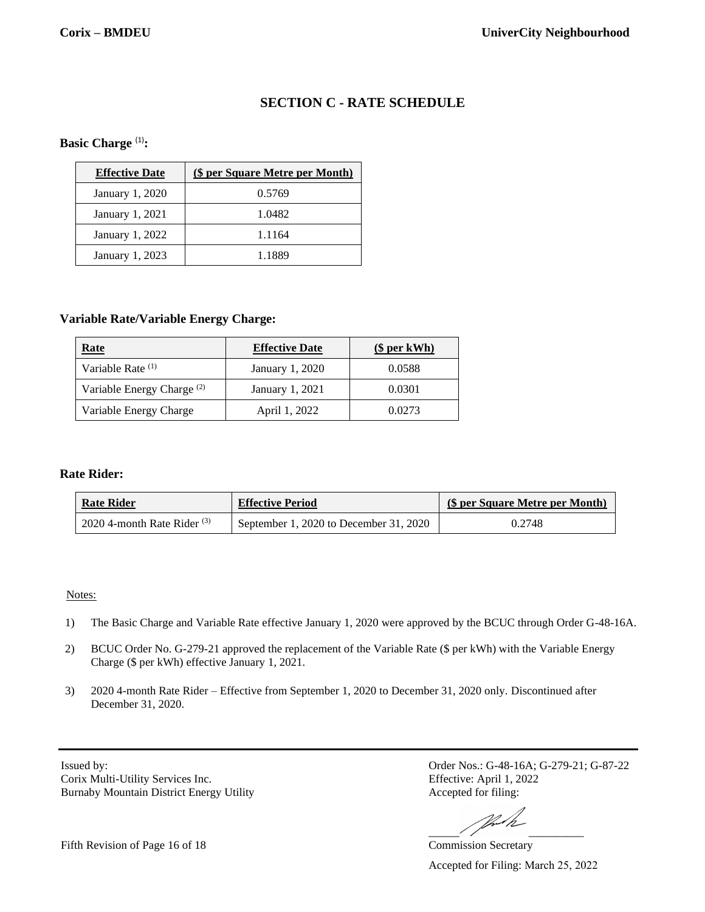# **SECTION C - RATE SCHEDULE**

#### **Basic Charge** (1)**:**

| <b>Effective Date</b> | (\$ per Square Metre per Month) |
|-----------------------|---------------------------------|
| January 1, 2020       | 0.5769                          |
| January 1, 2021       | 1.0482                          |
| January 1, 2022       | 1.1164                          |
| January 1, 2023       | 1.1889                          |

#### **Variable Rate/Variable Energy Charge:**

| <u>Rate</u>                           | <b>Effective Date</b> | \$per kWh) |
|---------------------------------------|-----------------------|------------|
| Variable Rate (1)                     | January 1, 2020       | 0.0588     |
| Variable Energy Charge <sup>(2)</sup> | January 1, 2021       | 0.0301     |
| Variable Energy Charge                | April 1, 2022         | 0.0273     |

#### **Rate Rider:**

| <b>Rate Rider</b>             | <b>Effective Period</b>                | (\$ per Square Metre per Month) |
|-------------------------------|----------------------------------------|---------------------------------|
| 2020 4-month Rate Rider $(3)$ | September 1, 2020 to December 31, 2020 | 0.2748                          |

#### Notes:

- 1) The Basic Charge and Variable Rate effective January 1, 2020 were approved by the BCUC through Order G-48-16A.
- 2) BCUC Order No. G-279-21 approved the replacement of the Variable Rate (\$ per kWh) with the Variable Energy Charge (\$ per kWh) effective January 1, 2021.
- 3) 2020 4-month Rate Rider Effective from September 1, 2020 to December 31, 2020 only. Discontinued after December 31, 2020.

Issued by: Corix Multi-Utility Services Inc. Burnaby Mountain District Energy Utility Order Nos.: G-48-16A; G-279-21; G-87-22 Effective: April 1, 2022 Accepted for filing:

 $\frac{1}{2}$ 

Commission Secretary

Accepted for Filing: March 25, 2022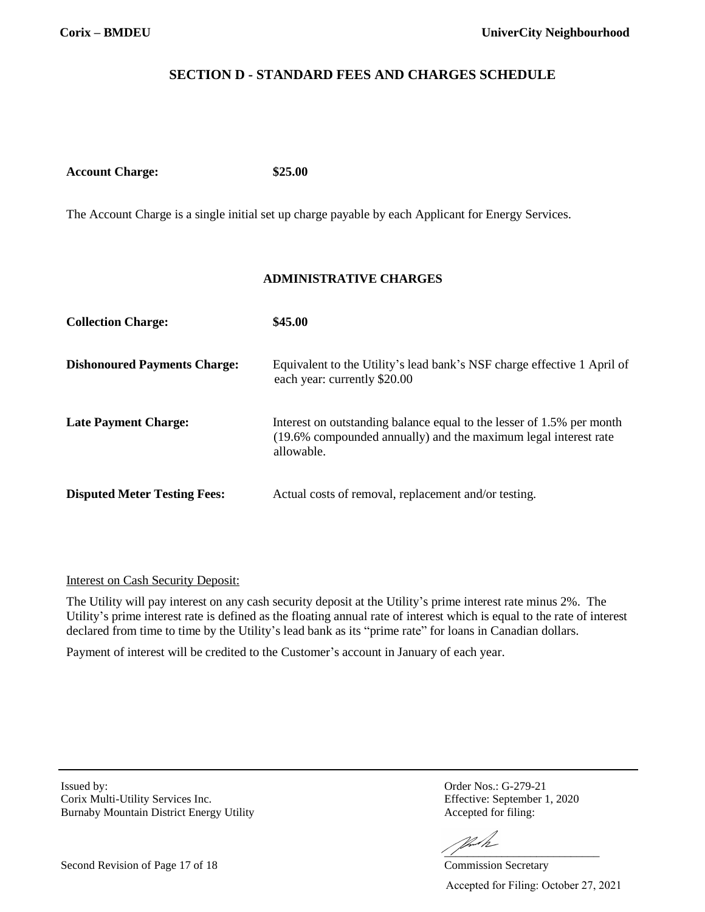# **SECTION D - STANDARD FEES AND CHARGES SCHEDULE**

**Account Charge: \$25.00**

The Account Charge is a single initial set up charge payable by each Applicant for Energy Services.

### **ADMINISTRATIVE CHARGES**

| <b>Collection Charge:</b>           | \$45.00                                                                                                                                                |
|-------------------------------------|--------------------------------------------------------------------------------------------------------------------------------------------------------|
| <b>Dishonoured Payments Charge:</b> | Equivalent to the Utility's lead bank's NSF charge effective 1 April of<br>each year: currently \$20.00                                                |
| <b>Late Payment Charge:</b>         | Interest on outstanding balance equal to the lesser of 1.5% per month<br>(19.6% compounded annually) and the maximum legal interest rate<br>allowable. |
| <b>Disputed Meter Testing Fees:</b> | Actual costs of removal, replacement and/or testing.                                                                                                   |

#### Interest on Cash Security Deposit:

The Utility will pay interest on any cash security deposit at the Utility's prime interest rate minus 2%. The Utility's prime interest rate is defined as the floating annual rate of interest which is equal to the rate of interest declared from time to time by the Utility's lead bank as its "prime rate" for loans in Canadian dollars.

Payment of interest will be credited to the Customer's account in January of each year.

Issued by: Order Nos.: G-279-21 Corix Multi-Utility Services Inc. Effective: September 1, 2020 Burnaby Mountain District Energy Utility Accepted for filing:

VII

 $\frac{1}{2}$  ,  $\frac{1}{2}$  ,  $\frac{1}{2}$  ,  $\frac{1}{2}$  ,  $\frac{1}{2}$  ,  $\frac{1}{2}$  ,  $\frac{1}{2}$  ,  $\frac{1}{2}$  ,  $\frac{1}{2}$  ,  $\frac{1}{2}$  ,  $\frac{1}{2}$  ,  $\frac{1}{2}$  ,  $\frac{1}{2}$  ,  $\frac{1}{2}$  ,  $\frac{1}{2}$  ,  $\frac{1}{2}$  ,  $\frac{1}{2}$  ,  $\frac{1}{2}$  ,  $\frac{1$